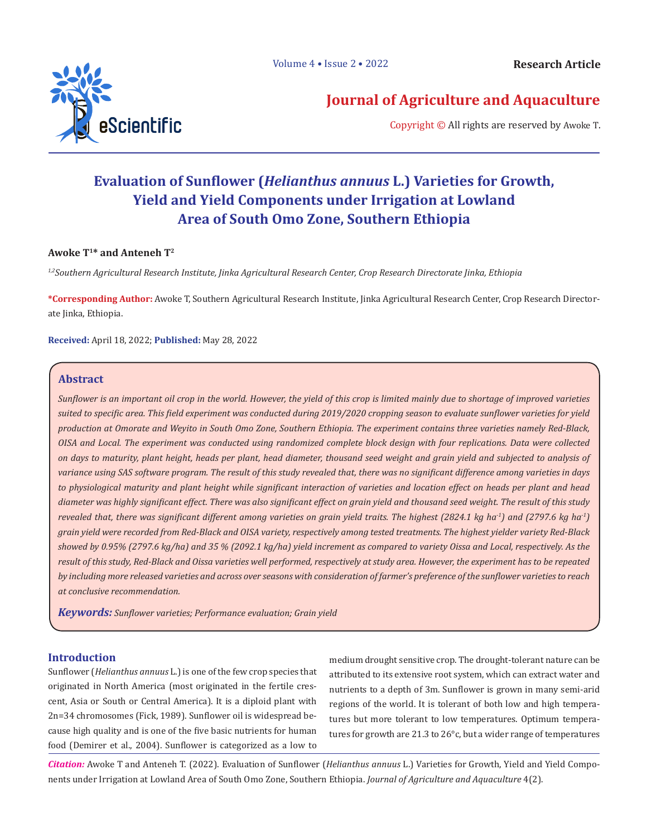

# **Journal of Agriculture and Aquaculture**

Copyright © All rights are reserved by Awoke T.

# **Evaluation of Sunflower (***Helianthus annuus* **L.) Varieties for Growth, Yield and Yield Components under Irrigation at Lowland Area of South Omo Zone, Southern Ethiopia**

# **Awoke T1\* and Anteneh T2**

*1,2Southern Agricultural Research Institute, Jinka Agricultural Research Center, Crop Research Directorate Jinka, Ethiopia*

**\*Corresponding Author:** Awoke T, Southern Agricultural Research Institute, Jinka Agricultural Research Center, Crop Research Directorate Jinka, Ethiopia.

**Received:** April 18, 2022; **Published:** May 28, 2022

# **Abstract**

*Sunflower is an important oil crop in the world. However, the yield of this crop is limited mainly due to shortage of improved varieties suited to specific area. This field experiment was conducted during 2019/2020 cropping season to evaluate sunflower varieties for yield production at Omorate and Weyito in South Omo Zone, Southern Ethiopia. The experiment contains three varieties namely Red-Black, OISA and Local. The experiment was conducted using randomized complete block design with four replications. Data were collected on days to maturity, plant height, heads per plant, head diameter, thousand seed weight and grain yield and subjected to analysis of variance using SAS software program. The result of this study revealed that, there was no significant difference among varieties in days to physiological maturity and plant height while significant interaction of varieties and location effect on heads per plant and head diameter was highly significant effect. There was also significant effect on grain yield and thousand seed weight. The result of this study revealed that, there was significant different among varieties on grain yield traits. The highest (2824.1 kg ha<sup>-1</sup>) and (2797.6 kg ha<sup>-1</sup>) grain yield were recorded from Red-Black and OISA variety, respectively among tested treatments. The highest yielder variety Red-Black showed by 0.95% (2797.6 kg/ha) and 35 % (2092.1 kg/ha) yield increment as compared to variety Oissa and Local, respectively. As the result of this study, Red-Black and Oissa varieties well performed, respectively at study area. However, the experiment has to be repeated by including more released varieties and across over seasons with consideration of farmer's preference of the sunflower varieties to reach at conclusive recommendation.*

*Keywords: Sunflower varieties; Performance evaluation; Grain yield*

# **Introduction**

Sunflower (*Helianthus annuus* L.) is one of the few crop species that originated in North America (most originated in the fertile crescent, Asia or South or Central America). It is a diploid plant with 2n=34 chromosomes (Fick, 1989). Sunflower oil is widespread because high quality and is one of the five basic nutrients for human food (Demirer et al., 2004). Sunflower is categorized as a low to

medium drought sensitive crop. The drought-tolerant nature can be attributed to its extensive root system, which can extract water and nutrients to a depth of 3m. Sunflower is grown in many semi-arid regions of the world. It is tolerant of both low and high temperatures but more tolerant to low temperatures. Optimum temperatures for growth are 21.3 to 26°c, but a wider range of temperatures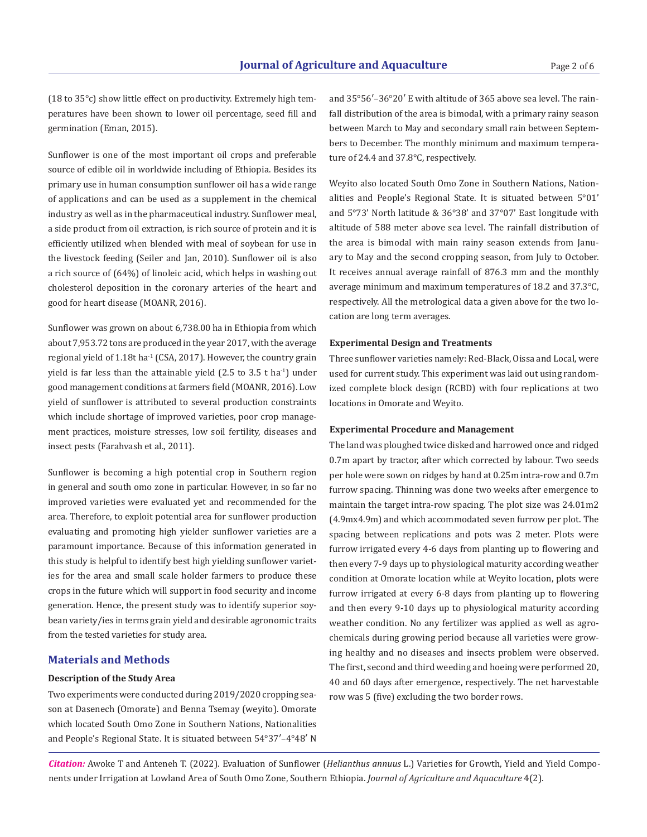(18 to 35°c) show little effect on productivity. Extremely high temperatures have been shown to lower oil percentage, seed fill and germination (Eman, 2015).

Sunflower is one of the most important oil crops and preferable source of edible oil in worldwide including of Ethiopia. Besides its primary use in human consumption sunflower oil has a wide range of applications and can be used as a supplement in the chemical industry as well as in the pharmaceutical industry. Sunflower meal, a side product from oil extraction, is rich source of protein and it is efficiently utilized when blended with meal of soybean for use in the livestock feeding (Seiler and Jan, 2010). Sunflower oil is also a rich source of (64%) of linoleic acid, which helps in washing out cholesterol deposition in the coronary arteries of the heart and good for heart disease (MOANR, 2016).

Sunflower was grown on about 6,738.00 ha in Ethiopia from which about 7,953.72 tons are produced in the year 2017, with the average regional yield of  $1.18t$  ha<sup>-1</sup> (CSA, 2017). However, the country grain yield is far less than the attainable yield  $(2.5 \text{ to } 3.5 \text{ t} \text{ ha}^{-1})$  under good management conditions at farmers field (MOANR, 2016). Low yield of sunflower is attributed to several production constraints which include shortage of improved varieties, poor crop management practices, moisture stresses, low soil fertility, diseases and insect pests (Farahvash et al., 2011).

Sunflower is becoming a high potential crop in Southern region in general and south omo zone in particular. However, in so far no improved varieties were evaluated yet and recommended for the area. Therefore, to exploit potential area for sunflower production evaluating and promoting high yielder sunflower varieties are a paramount importance. Because of this information generated in this study is helpful to identify best high yielding sunflower varieties for the area and small scale holder farmers to produce these crops in the future which will support in food security and income generation. Hence, the present study was to identify superior soybean variety/ies in terms grain yield and desirable agronomic traits from the tested varieties for study area.

# **Materials and Methods**

# **Description of the Study Area**

Two experiments were conducted during 2019/2020 cropping season at Dasenech (Omorate) and Benna Tsemay (weyito). Omorate which located South Omo Zone in Southern Nations, Nationalities and People's Regional State. It is situated between 54°37′–4°48′ N

and 35°56′–36°20′ E with altitude of 365 above sea level. The rainfall distribution of the area is bimodal, with a primary rainy season between March to May and secondary small rain between Septembers to December. The monthly minimum and maximum temperature of 24.4 and 37.8°C, respectively.

Weyito also located South Omo Zone in Southern Nations, Nationalities and People's Regional State. It is situated between 5°01' and 5°73' North latitude & 36°38' and 37°07' East longitude with altitude of 588 meter above sea level. The rainfall distribution of the area is bimodal with main rainy season extends from January to May and the second cropping season, from July to October. It receives annual average rainfall of 876.3 mm and the monthly average minimum and maximum temperatures of 18.2 and 37.3°C, respectively. All the metrological data a given above for the two location are long term averages.

#### **Experimental Design and Treatments**

Three sunflower varieties namely: Red-Black, Oissa and Local, were used for current study. This experiment was laid out using randomized complete block design (RCBD) with four replications at two locations in Omorate and Weyito.

# **Experimental Procedure and Management**

The land was ploughed twice disked and harrowed once and ridged 0.7m apart by tractor, after which corrected by labour. Two seeds per hole were sown on ridges by hand at 0.25m intra-row and 0.7m furrow spacing. Thinning was done two weeks after emergence to maintain the target intra-row spacing. The plot size was 24.01m2 (4.9mx4.9m) and which accommodated seven furrow per plot. The spacing between replications and pots was 2 meter. Plots were furrow irrigated every 4-6 days from planting up to flowering and then every 7-9 days up to physiological maturity according weather condition at Omorate location while at Weyito location, plots were furrow irrigated at every 6-8 days from planting up to flowering and then every 9-10 days up to physiological maturity according weather condition. No any fertilizer was applied as well as agrochemicals during growing period because all varieties were growing healthy and no diseases and insects problem were observed. The first, second and third weeding and hoeing were performed 20, 40 and 60 days after emergence, respectively. The net harvestable row was 5 (five) excluding the two border rows.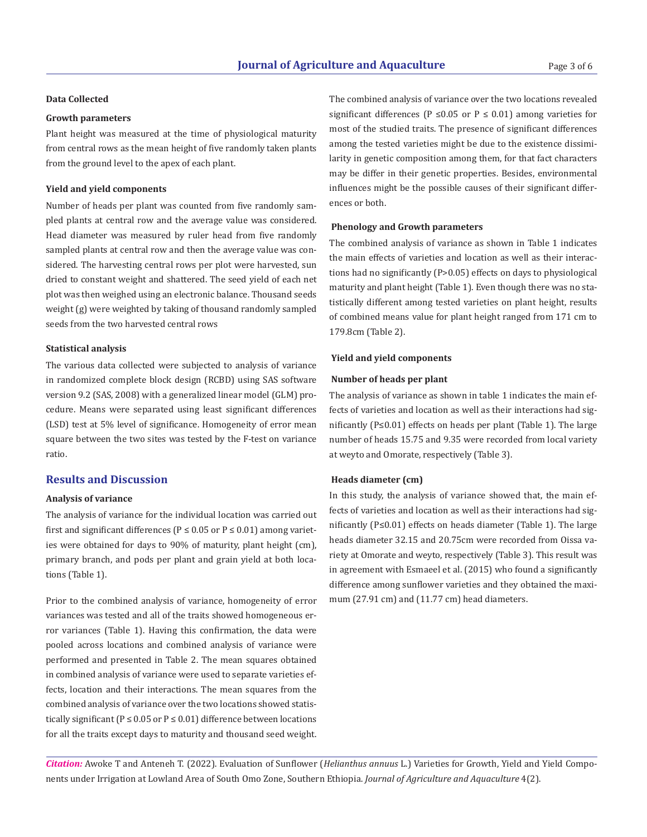# **Data Collected**

## **Growth parameters**

Plant height was measured at the time of physiological maturity from central rows as the mean height of five randomly taken plants from the ground level to the apex of each plant.

#### **Yield and yield components**

Number of heads per plant was counted from five randomly sampled plants at central row and the average value was considered. Head diameter was measured by ruler head from five randomly sampled plants at central row and then the average value was considered. The harvesting central rows per plot were harvested, sun dried to constant weight and shattered. The seed yield of each net plot was then weighed using an electronic balance. Thousand seeds weight (g) were weighted by taking of thousand randomly sampled seeds from the two harvested central rows

# **Statistical analysis**

The various data collected were subjected to analysis of variance in randomized complete block design (RCBD) using SAS software version 9.2 (SAS, 2008) with a generalized linear model (GLM) procedure. Means were separated using least significant differences (LSD) test at 5% level of significance. Homogeneity of error mean square between the two sites was tested by the F-test on variance ratio.

# **Results and Discussion**

#### **Analysis of variance**

The analysis of variance for the individual location was carried out first and significant differences ( $P \le 0.05$  or  $P \le 0.01$ ) among varieties were obtained for days to 90% of maturity, plant height (cm), primary branch, and pods per plant and grain yield at both locations (Table 1).

Prior to the combined analysis of variance, homogeneity of error mum (27.91 cm) and (11.77 cm) head diameters. variances was tested and all of the traits showed homogeneous error variances (Table 1). Having this confirmation, the data were pooled across locations and combined analysis of variance were performed and presented in Table 2. The mean squares obtained in combined analysis of variance were used to separate varieties effects, location and their interactions. The mean squares from the combined analysis of variance over the two locations showed statistically significant ( $P \le 0.05$  or  $P \le 0.01$ ) difference between locations for all the traits except days to maturity and thousand seed weight.

The combined analysis of variance over the two locations revealed significant differences (P  $\leq$ 0.05 or P  $\leq$  0.01) among varieties for most of the studied traits. The presence of significant differences among the tested varieties might be due to the existence dissimilarity in genetic composition among them, for that fact characters may be differ in their genetic properties. Besides, environmental influences might be the possible causes of their significant differences or both.

# **Phenology and Growth parameters**

The combined analysis of variance as shown in Table 1 indicates the main effects of varieties and location as well as their interactions had no significantly (P>0.05) effects on days to physiological maturity and plant height (Table 1). Even though there was no statistically different among tested varieties on plant height, results of combined means value for plant height ranged from 171 cm to 179.8cm (Table 2).

#### **Yield and yield components**

# **Number of heads per plant**

The analysis of variance as shown in table 1 indicates the main effects of varieties and location as well as their interactions had significantly (P≤0.01) effects on heads per plant (Table 1). The large number of heads 15.75 and 9.35 were recorded from local variety at weyto and Omorate, respectively (Table 3).

#### **Heads diameter (cm)**

In this study, the analysis of variance showed that, the main effects of varieties and location as well as their interactions had significantly (P≤0.01) effects on heads diameter (Table 1). The large heads diameter 32.15 and 20.75cm were recorded from Oissa variety at Omorate and weyto, respectively (Table 3). This result was in agreement with Esmaeel et al. (2015) who found a significantly difference among sunflower varieties and they obtained the maxi-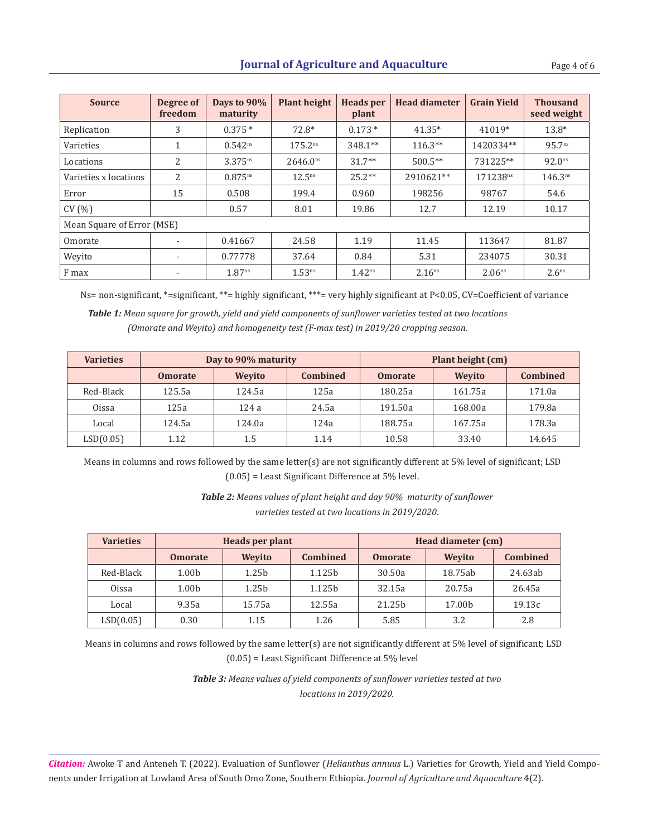| <b>Source</b>              | Degree of<br>freedom     | Days to 90%<br>maturity | <b>Plant height</b>  | <b>Heads</b> per<br>plant | <b>Head diameter</b> | <b>Grain Yield</b> | <b>Thousand</b><br>seed weight |  |  |
|----------------------------|--------------------------|-------------------------|----------------------|---------------------------|----------------------|--------------------|--------------------------------|--|--|
| Replication                | 3                        | $0.375*$                | $72.8*$              | $0.173*$                  | $41.35*$             | 41019*             | $13.8*$                        |  |  |
| Varieties                  | $\mathbf 1$              | $0.542^{ns}$            | 175.2 <sup>ns</sup>  | $348.1**$                 | $116.3**$            | 1420334**          | $95.7^{ns}$                    |  |  |
| Locations                  | 2                        | $3.375^{ns}$            | 2646.0 <sup>ns</sup> | $31.7**$                  | $500.5**$            | 731225**           | $92.0^{ns}$                    |  |  |
| Varieties x locations      | 2                        | $0.875^{ns}$            | $12.5^{ns}$          | $25.2**$                  | 2910621**            | 171238ns           | 146.3 <sup>ns</sup>            |  |  |
| Error                      | 15                       | 0.508                   | 199.4                | 0.960                     | 198256               | 98767              | 54.6                           |  |  |
| CV(%)                      |                          | 0.57                    | 8.01                 | 19.86                     | 12.7                 | 12.19              | 10.17                          |  |  |
| Mean Square of Error (MSE) |                          |                         |                      |                           |                      |                    |                                |  |  |
| Omorate                    | $\overline{\phantom{a}}$ | 0.41667                 | 24.58                | 1.19                      | 11.45                | 113647             | 81.87                          |  |  |
| Weyito                     | $\overline{\phantom{a}}$ | 0.77778                 | 37.64                | 0.84                      | 5.31                 | 234075             | 30.31                          |  |  |
| F max                      | ٠                        | 1.87 <sup>ns</sup>      | 1.53 <sup>ns</sup>   | 1.42 <sup>ns</sup>        | 2.16 <sup>ns</sup>   | 2.06 <sup>ns</sup> | 2.6 <sup>ns</sup>              |  |  |

Ns= non-significant, \*=significant, \*\*= highly significant, \*\*\*= very highly significant at P<0.05, CV=Coefficient of variance *Table 1: Mean square for growth, yield and yield components of sunflower varieties tested at two locations (Omorate and Weyito) and homogeneity test (F-max test) in 2019/20 cropping season.*

| <b>Varieties</b> | Day to 90% maturity |               |                 | Plant height (cm) |               |                 |
|------------------|---------------------|---------------|-----------------|-------------------|---------------|-----------------|
|                  | <b>Omorate</b>      | <b>Wevito</b> | <b>Combined</b> | <b>Omorate</b>    | <b>Wevito</b> | <b>Combined</b> |
| Red-Black        | 125.5a              | 124.5a        | 125a            | 180.25a           | 161.75a       | 171.0a          |
| <b>Oissa</b>     | 125a                | 124a          | 24.5a           | 191.50a           | 168.00a       | 179.8a          |
| Local            | 124.5a              | 124.0a        | 124a            | 188.75a           | 167.75a       | 178.3a          |
| LSD(0.05)        | 1.12                | 1.5           | 1.14            | 10.58             | 33.40         | 14.645          |

Means in columns and rows followed by the same letter(s) are not significantly different at 5% level of significant; LSD (0.05) = Least Significant Difference at 5% level.

> *Table 2: Means values of plant height and day 90% maturity of sunflower varieties tested at two locations in 2019/2020.*

| <b>Varieties</b> | Heads per plant |                   |                 | Head diameter (cm) |                    |                 |  |
|------------------|-----------------|-------------------|-----------------|--------------------|--------------------|-----------------|--|
|                  | <b>Omorate</b>  | <b>Wevito</b>     | <b>Combined</b> | <b>Omorate</b>     | <b>Wevito</b>      | <b>Combined</b> |  |
| Red-Black        | 1.00b           | 1.25 <sub>b</sub> | 1.125b          | 30.50a             | 18.75ab            | 24.63ab         |  |
| <b>Oissa</b>     | 1.00b           | 1.25 <sub>b</sub> | 1.125b          | 32.15a             | 20.75a             | 26.45a          |  |
| Local            | 9.35a           | 15.75a            | 12.55a          | 21.25b             | 17.00 <sub>b</sub> | 19.13c          |  |
| LSD(0.05)        | 0.30            | 1.15              | 1.26            | 5.85               | 3.2                | 2.8             |  |

 Means in columns and rows followed by the same letter(s) are not significantly different at 5% level of significant; LSD (0.05) = Least Significant Difference at 5% level

> *Table 3: Means values of yield components of sunflower varieties tested at two locations in 2019/2020.*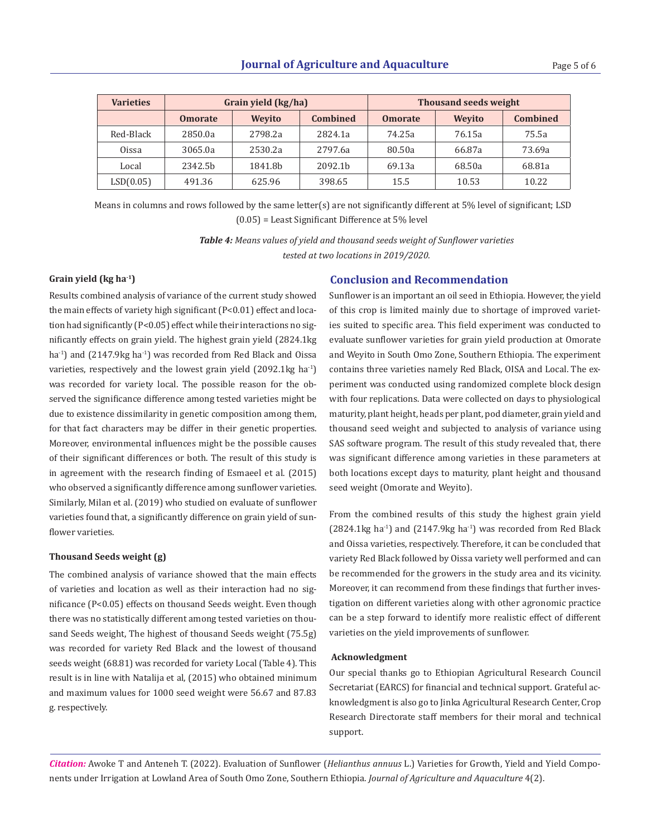| <b>Varieties</b> | Grain yield (kg/ha) |         |                     | <b>Thousand seeds weight</b> |        |                 |
|------------------|---------------------|---------|---------------------|------------------------------|--------|-----------------|
|                  | <b>Omorate</b>      | Wevito  | <b>Combined</b>     | <b>Omorate</b>               | Wevito | <b>Combined</b> |
| Red-Black        | 2850.0a             | 2798.2a | 2824.1a             | 74.25a                       | 76.15a | 75.5a           |
| <b>Oissa</b>     | 3065.0a             | 2530.2a | 2797.6a             | 80.50a                       | 66.87a | 73.69a          |
| Local            | 2342.5b             | 1841.8b | 2092.1 <sub>b</sub> | 69.13a                       | 68.50a | 68.81a          |
| LSD(0.05)        | 491.36              | 625.96  | 398.65              | 15.5                         | 10.53  | 10.22           |

 Means in columns and rows followed by the same letter(s) are not significantly different at 5% level of significant; LSD (0.05) = Least Significant Difference at 5% level

> *Table 4: Means values of yield and thousand seeds weight of Sunflower varieties tested at two locations in 2019/2020.*

Results combined analysis of variance of the current study showed the main effects of variety high significant (P<0.01) effect and location had significantly (P<0.05) effect while their interactions no significantly effects on grain yield. The highest grain yield (2824.1kg  $ha^{-1}$ ) and (2147.9kg  $ha^{-1}$ ) was recorded from Red Black and Oissa varieties, respectively and the lowest grain yield (2092.1kg ha<sup>-1</sup>) was recorded for variety local. The possible reason for the observed the significance difference among tested varieties might be due to existence dissimilarity in genetic composition among them, for that fact characters may be differ in their genetic properties. Moreover, environmental influences might be the possible causes of their significant differences or both. The result of this study is in agreement with the research finding of Esmaeel et al. (2015) who observed a significantly difference among sunflower varieties. Similarly, Milan et al. (2019) who studied on evaluate of sunflower varieties found that, a significantly difference on grain yield of sunflower varieties.

# **Thousand Seeds weight (g)**

The combined analysis of variance showed that the main effects of varieties and location as well as their interaction had no significance (P<0.05) effects on thousand Seeds weight. Even though there was no statistically different among tested varieties on thousand Seeds weight, The highest of thousand Seeds weight (75.5g) was recorded for variety Red Black and the lowest of thousand seeds weight (68.81) was recorded for variety Local (Table 4). This result is in line with Natalija et al, (2015) who obtained minimum and maximum values for 1000 seed weight were 56.67 and 87.83 g. respectively.

# **Grain yield (kg ha-1) Conclusion and Recommendation**

Sunflower is an important an oil seed in Ethiopia. However, the yield of this crop is limited mainly due to shortage of improved varieties suited to specific area. This field experiment was conducted to evaluate sunflower varieties for grain yield production at Omorate and Weyito in South Omo Zone, Southern Ethiopia. The experiment contains three varieties namely Red Black, OISA and Local. The experiment was conducted using randomized complete block design with four replications. Data were collected on days to physiological maturity, plant height, heads per plant, pod diameter, grain yield and thousand seed weight and subjected to analysis of variance using SAS software program. The result of this study revealed that, there was significant difference among varieties in these parameters at both locations except days to maturity, plant height and thousand seed weight (Omorate and Weyito).

From the combined results of this study the highest grain yield  $(2824.1 \text{kg} \text{ha}^{-1})$  and  $(2147.9 \text{kg} \text{ha}^{-1})$  was recorded from Red Black and Oissa varieties, respectively. Therefore, it can be concluded that variety Red Black followed by Oissa variety well performed and can be recommended for the growers in the study area and its vicinity. Moreover, it can recommend from these findings that further investigation on different varieties along with other agronomic practice can be a step forward to identify more realistic effect of different varieties on the yield improvements of sunflower.

#### **Acknowledgment**

Our special thanks go to Ethiopian Agricultural Research Council Secretariat (EARCS) for financial and technical support. Grateful acknowledgment is also go to Jinka Agricultural Research Center, Crop Research Directorate staff members for their moral and technical support.